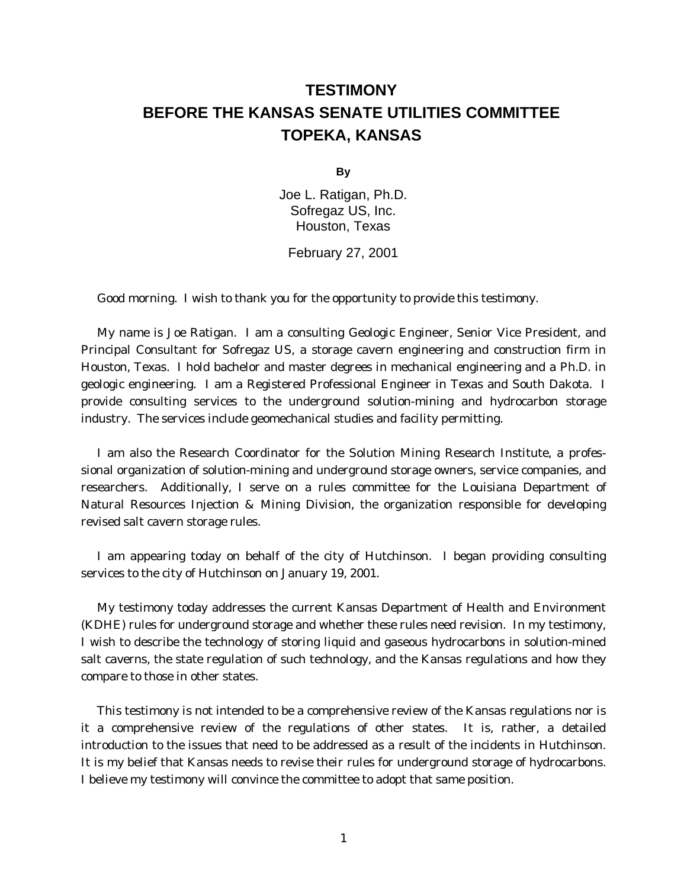# **TESTIMONY BEFORE THE KANSAS SENATE UTILITIES COMMITTEE TOPEKA, KANSAS**

**By**

Joe L. Ratigan, Ph.D. Sofregaz US, Inc. Houston, Texas

February 27, 2001

Good morning. I wish to thank you for the opportunity to provide this testimony.

My name is Joe Ratigan. I am a consulting Geologic Engineer, Senior Vice President, and Principal Consultant for Sofregaz US, a storage cavern engineering and construction firm in Houston, Texas. I hold bachelor and master degrees in mechanical engineering and a Ph.D. in geologic engineering. I am a Registered Professional Engineer in Texas and South Dakota. I provide consulting services to the underground solution-mining and hydrocarbon storage industry. The services include geomechanical studies and facility permitting.

I am also the Research Coordinator for the Solution Mining Research Institute, a professional organization of solution-mining and underground storage owners, service companies, and researchers. Additionally, I serve on a rules committee for the Louisiana Department of Natural Resources Injection & Mining Division, the organization responsible for developing revised salt cavern storage rules.

I am appearing today on behalf of the city of Hutchinson. I began providing consulting services to the city of Hutchinson on January 19, 2001.

My testimony today addresses the current Kansas Department of Health and Environment (KDHE) rules for underground storage and whether these rules need revision. In my testimony, I wish to describe the technology of storing liquid and gaseous hydrocarbons in solution-mined salt caverns, the state regulation of such technology, and the Kansas regulations and how they compare to those in other states.

This testimony is not intended to be a comprehensive review of the Kansas regulations nor is it a comprehensive review of the regulations of other states. It is, rather, a detailed introduction to the issues that need to be addressed as a result of the incidents in Hutchinson. It is my belief that Kansas needs to revise their rules for underground storage of hydrocarbons. I believe my testimony will convince the committee to adopt that same position.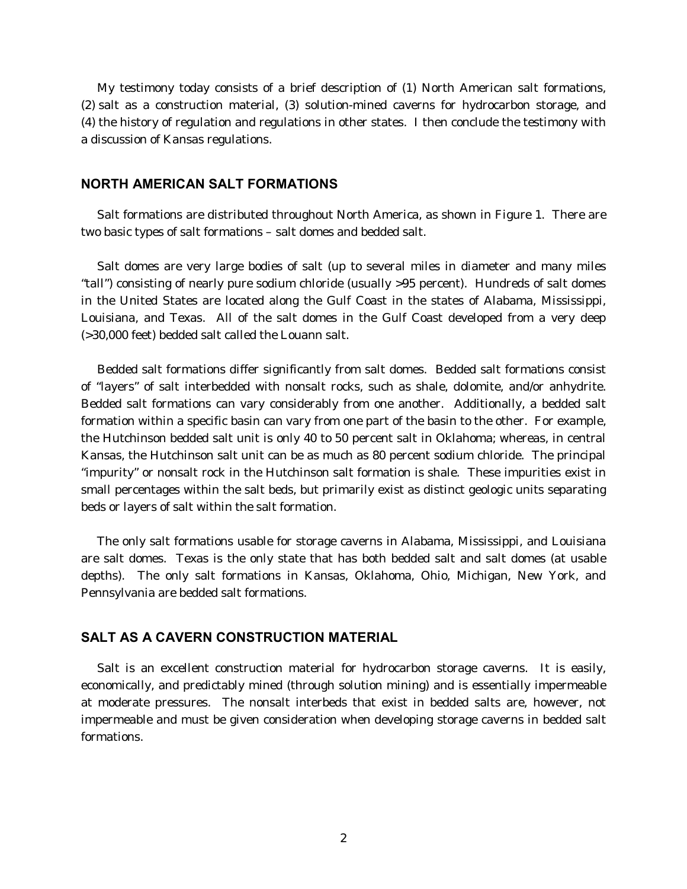My testimony today consists of a brief description of (1) North American salt formations, (2) salt as a construction material, (3) solution-mined caverns for hydrocarbon storage, and (4) the history of regulation and regulations in other states. I then conclude the testimony with a discussion of Kansas regulations.

#### **NORTH AMERICAN SALT FORMATIONS**

Salt formations are distributed throughout North America, as shown in Figure 1. There are two basic types of salt formations – salt domes and bedded salt.

Salt domes are very large bodies of salt (up to several miles in diameter and many miles "tall") consisting of nearly pure sodium chloride (usually >95 percent). Hundreds of salt domes in the United States are located along the Gulf Coast in the states of Alabama, Mississippi, Louisiana, and Texas. All of the salt domes in the Gulf Coast developed from a very deep (>30,000 feet) bedded salt called the Louann salt.

Bedded salt formations differ significantly from salt domes. Bedded salt formations consist of "layers" of salt interbedded with nonsalt rocks, such as shale, dolomite, and/or anhydrite. Bedded salt formations can vary considerably from one another. Additionally, a bedded salt formation within a specific basin can vary from one part of the basin to the other. For example, the Hutchinson bedded salt unit is only 40 to 50 percent salt in Oklahoma; whereas, in central Kansas, the Hutchinson salt unit can be as much as 80 percent sodium chloride. The principal "impurity" or nonsalt rock in the Hutchinson salt formation is shale. These impurities exist in small percentages within the salt beds, but primarily exist as distinct geologic units separating beds or layers of salt within the salt formation.

The only salt formations usable for storage caverns in Alabama, Mississippi, and Louisiana are salt domes. Texas is the only state that has both bedded salt and salt domes (at usable depths). The only salt formations in Kansas, Oklahoma, Ohio, Michigan, New York, and Pennsylvania are bedded salt formations.

## **SALT AS A CAVERN CONSTRUCTION MATERIAL**

Salt is an excellent construction material for hydrocarbon storage caverns. It is easily, economically, and predictably mined (through solution mining) and is essentially impermeable at moderate pressures. The nonsalt interbeds that exist in bedded salts are, however, not impermeable and must be given consideration when developing storage caverns in bedded salt formations.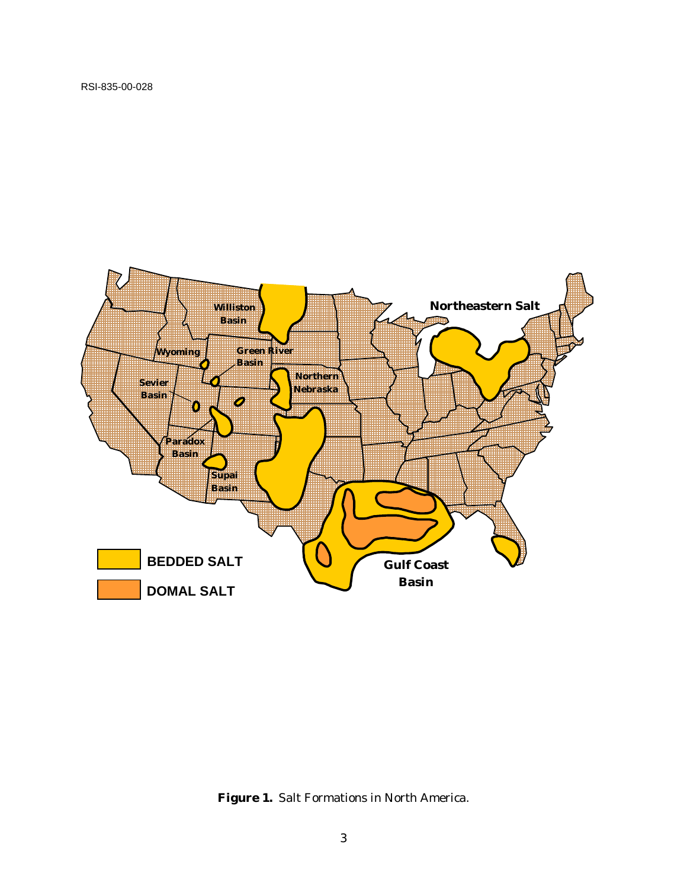

**Figure 1.** Salt Formations in North America.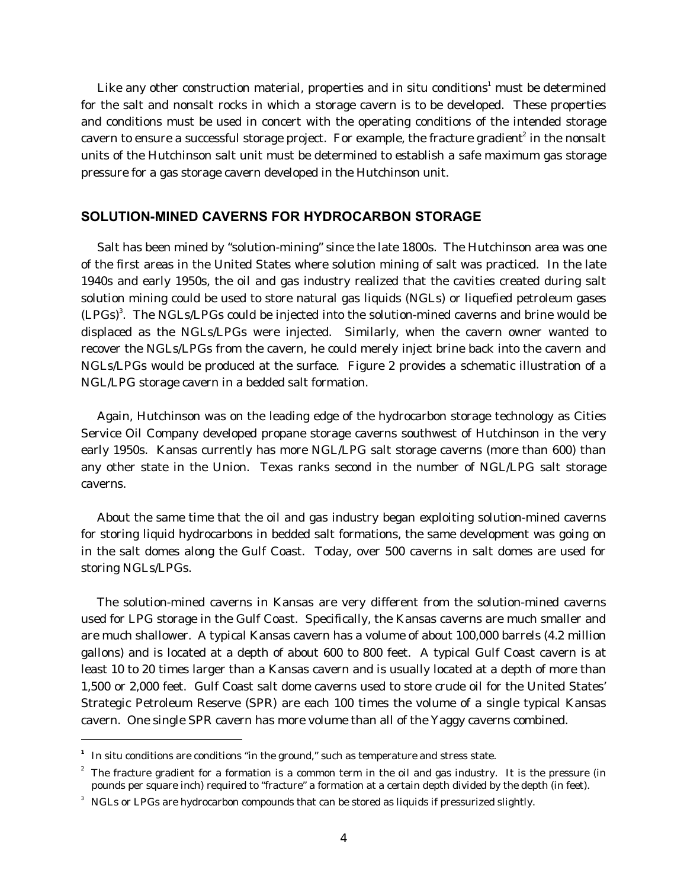Like any other construction material, properties and in situ conditions $^{\rm 1}$  must be determined for the salt and nonsalt rocks in which a storage cavern is to be developed. These properties and conditions must be used in concert with the operating conditions of the intended storage cavern to ensure a successful storage project. For example, the fracture gradient $^{\rm z}$  in the nonsalt units of the Hutchinson salt unit must be determined to establish a safe maximum gas storage pressure for a gas storage cavern developed in the Hutchinson unit.

## **SOLUTION-MINED CAVERNS FOR HYDROCARBON STORAGE**

Salt has been mined by "solution-mining" since the late 1800s. The Hutchinson area was one of the first areas in the United States where solution mining of salt was practiced. In the late 1940s and early 1950s, the oil and gas industry realized that the cavities created during salt solution mining could be used to store natural gas liquids (NGLs) or liquefied petroleum gases  $(LPGs)^3$ . The NGLs/LPGs could be injected into the solution-mined caverns and brine would be displaced as the NGLs/LPGs were injected. Similarly, when the cavern owner wanted to recover the NGLs/LPGs from the cavern, he could merely inject brine back into the cavern and NGLs/LPGs would be produced at the surface. Figure 2 provides a schematic illustration of a NGL/LPG storage cavern in a bedded salt formation.

Again, Hutchinson was on the leading edge of the hydrocarbon storage technology as Cities Service Oil Company developed propane storage caverns southwest of Hutchinson in the very early 1950s. Kansas currently has more NGL/LPG salt storage caverns (more than 600) than any other state in the Union. Texas ranks second in the number of NGL/LPG salt storage caverns.

About the same time that the oil and gas industry began exploiting solution-mined caverns for storing liquid hydrocarbons in bedded salt formations, the same development was going on in the salt domes along the Gulf Coast. Today, over 500 caverns in salt domes are used for storing NGLs/LPGs.

The solution-mined caverns in Kansas are very different from the solution-mined caverns used for LPG storage in the Gulf Coast. Specifically, the Kansas caverns are much smaller and are much shallower. A typical Kansas cavern has a volume of about 100,000 barrels (4.2 million gallons) and is located at a depth of about 600 to 800 feet. A typical Gulf Coast cavern is at least 10 to 20 times larger than a Kansas cavern and is usually located at a depth of more than 1,500 or 2,000 feet. Gulf Coast salt dome caverns used to store crude oil for the United States' Strategic Petroleum Reserve (SPR) are each 100 times the volume of a single typical Kansas cavern. One single SPR cavern has more volume than all of the Yaggy caverns combined.

-

**<sup>1</sup>** In situ conditions are conditions "in the ground," such as temperature and stress state.

 $2^{2}$  The fracture gradient for a formation is a common term in the oil and gas industry. It is the pressure (in pounds per square inch) required to "fracture" a formation at a certain depth divided by the depth (in feet).

 $3$   $\,$  NGLs or LPGs are hydrocarbon compounds that can be stored as liquids if pressurized slightly.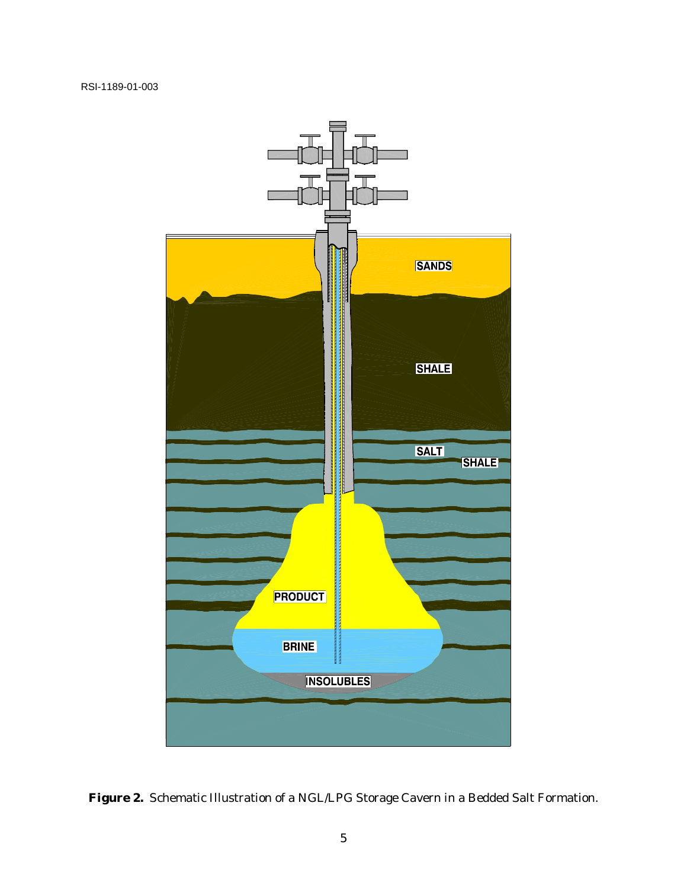

**Figure 2.** Schematic Illustration of a NGL/LPG Storage Cavern in a Bedded Salt Formation.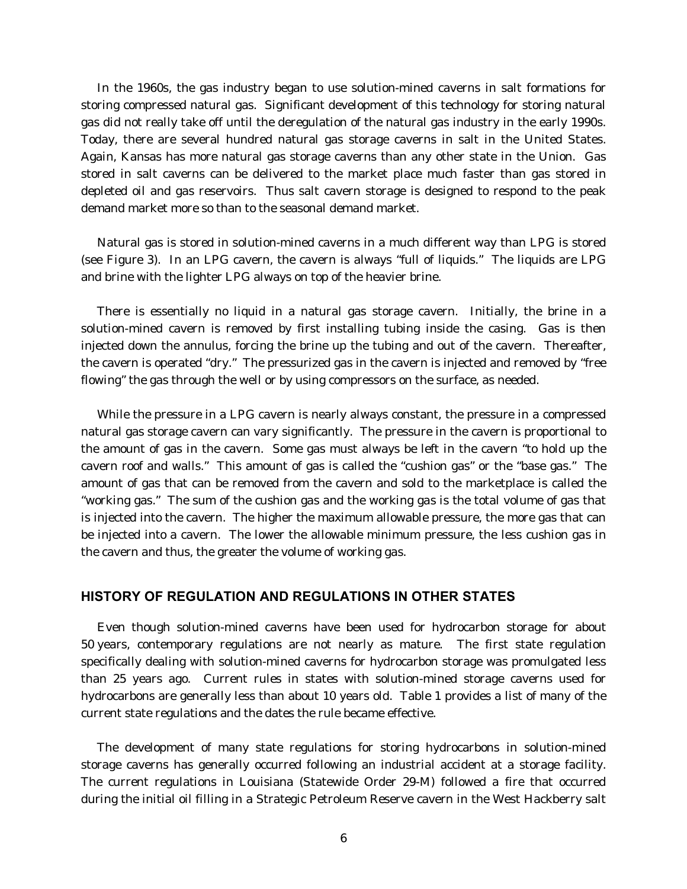In the 1960s, the gas industry began to use solution-mined caverns in salt formations for storing compressed natural gas. Significant development of this technology for storing natural gas did not really take off until the deregulation of the natural gas industry in the early 1990s. Today, there are several hundred natural gas storage caverns in salt in the United States. Again, Kansas has more natural gas storage caverns than any other state in the Union. Gas stored in salt caverns can be delivered to the market place much faster than gas stored in depleted oil and gas reservoirs. Thus salt cavern storage is designed to respond to the peak demand market more so than to the seasonal demand market.

Natural gas is stored in solution-mined caverns in a much different way than LPG is stored (see Figure 3). In an LPG cavern, the cavern is always "full of liquids." The liquids are LPG and brine with the lighter LPG always on top of the heavier brine.

There is essentially no liquid in a natural gas storage cavern. Initially, the brine in a solution-mined cavern is removed by first installing tubing inside the casing. Gas is then injected down the annulus, forcing the brine up the tubing and out of the cavern. Thereafter, the cavern is operated "dry." The pressurized gas in the cavern is injected and removed by "free flowing" the gas through the well or by using compressors on the surface, as needed.

While the pressure in a LPG cavern is nearly always constant, the pressure in a compressed natural gas storage cavern can vary significantly. The pressure in the cavern is proportional to the amount of gas in the cavern. Some gas must always be left in the cavern "to hold up the cavern roof and walls." This amount of gas is called the "cushion gas" or the "base gas." The amount of gas that can be removed from the cavern and sold to the marketplace is called the "working gas." The sum of the *cushion gas* and the *working gas* is the total volume of gas that is injected into the cavern. The higher the maximum allowable pressure, the more gas that can be injected into a cavern. The lower the allowable minimum pressure, the less *cushion gas* in the cavern and thus, the greater the volume of *working gas*.

#### **HISTORY OF REGULATION AND REGULATIONS IN OTHER STATES**

Even though solution-mined caverns have been used for hydrocarbon storage for about 50 years, contemporary regulations are not nearly as mature. The first state regulation specifically dealing with solution-mined caverns for hydrocarbon storage was promulgated less than 25 years ago. Current rules in states with solution-mined storage caverns used for hydrocarbons are generally less than about 10 years old. Table 1 provides a list of many of the current state regulations and the dates the rule became effective.

The development of many state regulations for storing hydrocarbons in solution-mined storage caverns has generally occurred following an industrial accident at a storage facility. The current regulations in Louisiana (Statewide Order 29-M) followed a fire that occurred during the initial oil filling in a Strategic Petroleum Reserve cavern in the West Hackberry salt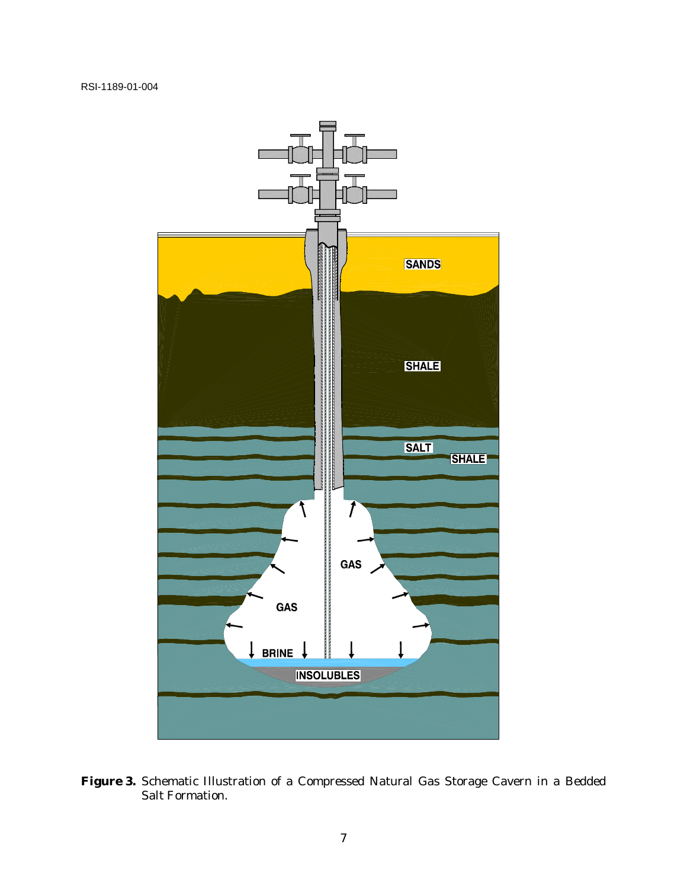

**Figure 3.** Schematic Illustration of a Compressed Natural Gas Storage Cavern in a Bedded Salt Formation.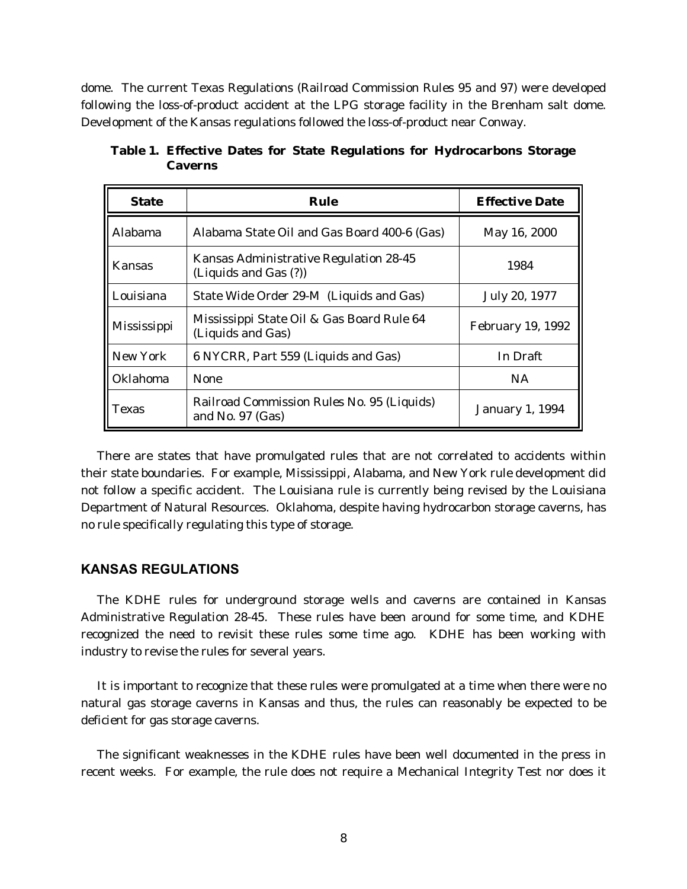dome. The current Texas Regulations (Railroad Commission Rules 95 and 97) were developed following the loss-of-product accident at the LPG storage facility in the Brenham salt dome. Development of the Kansas regulations followed the loss-of-product near Conway.

| <b>State</b>    | Rule                                                             | <b>Effective Date</b>    |
|-----------------|------------------------------------------------------------------|--------------------------|
| <b>Alabama</b>  | Alabama State Oil and Gas Board 400-6 (Gas)                      | May 16, 2000             |
| Kansas          | Kansas Administrative Regulation 28-45<br>(Liquids and Gas (?))  | 1984                     |
| Louisiana       | State Wide Order 29-M (Liquids and Gas)                          | July 20, 1977            |
| Mississippi     | Mississippi State Oil & Gas Board Rule 64<br>(Liquids and Gas)   | <b>February 19, 1992</b> |
| New York        | 6 NYCRR, Part 559 (Liquids and Gas)                              | In Draft                 |
| <b>Oklahoma</b> | <b>None</b>                                                      | <b>NA</b>                |
| <b>Texas</b>    | Railroad Commission Rules No. 95 (Liquids)<br>and No. $97$ (Gas) | <b>January 1, 1994</b>   |

**Table 1. Effective Dates for State Regulations for Hydrocarbons Storage Caverns**

There are states that have promulgated rules that are not correlated to accidents within their state boundaries. For example, Mississippi, Alabama, and New York rule development did not follow a specific accident. The Louisiana rule is currently being revised by the Louisiana Department of Natural Resources. Oklahoma, despite having hydrocarbon storage caverns, has no rule specifically regulating this type of storage.

#### **KANSAS REGULATIONS**

The KDHE rules for underground storage wells and caverns are contained in Kansas Administrative Regulation 28-45. These rules have been around for some time, and KDHE recognized the need to revisit these rules some time ago. KDHE has been working with industry to revise the rules for several years.

It is important to recognize that these rules were promulgated at a time when there were no natural gas storage caverns in Kansas and thus, the rules can reasonably be expected to be deficient for gas storage caverns.

The significant weaknesses in the KDHE rules have been well documented in the press in recent weeks. For example, the rule does not require a Mechanical Integrity Test nor does it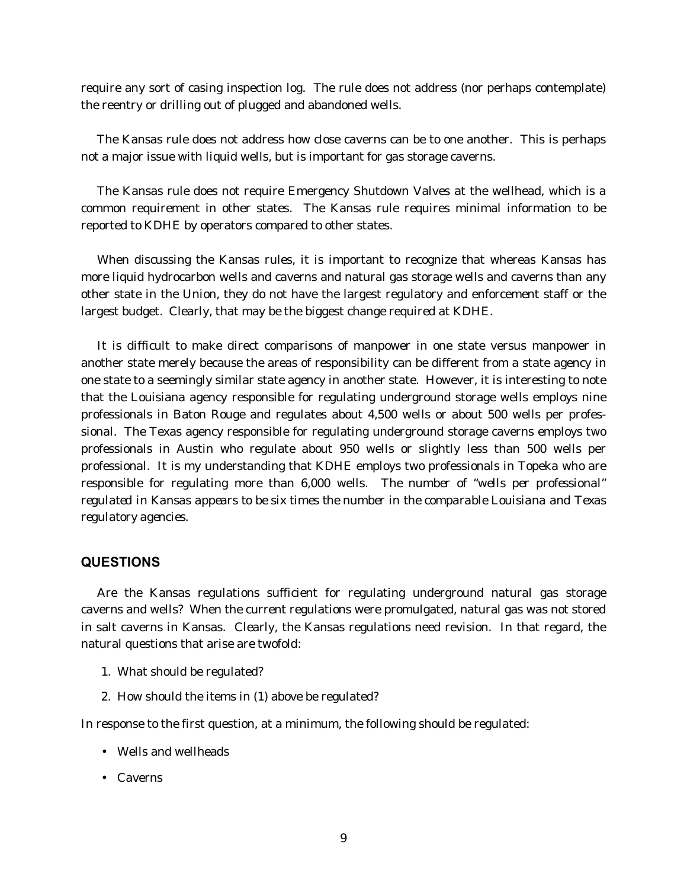require any sort of casing inspection log. The rule does not address (nor perhaps contemplate) the reentry or drilling out of plugged and abandoned wells.

The Kansas rule does not address how close caverns can be to one another. This is perhaps not a major issue with liquid wells, but is important for gas storage caverns.

The Kansas rule does not require Emergency Shutdown Valves at the wellhead, which is a common requirement in other states. The Kansas rule requires minimal information to be reported to KDHE by operators compared to other states.

When discussing the Kansas rules, it is important to recognize that whereas Kansas has more liquid hydrocarbon wells and caverns and natural gas storage wells and caverns than any other state in the Union, they do not have the largest regulatory and enforcement staff or the largest budget. Clearly, that may be the biggest change required at KDHE.

It is difficult to make direct comparisons of manpower in one state versus manpower in another state merely because the areas of responsibility can be different from a state agency in one state to a seemingly similar state agency in another state. However, it is interesting to note that the Louisiana agency responsible for regulating underground storage wells employs nine professionals in Baton Rouge and regulates about 4,500 wells or about 500 wells per professional. The Texas agency responsible for regulating underground storage caverns employs two professionals in Austin who regulate about 950 wells or slightly less than 500 wells per professional. It is my understanding that KDHE employs two professionals in Topeka who are responsible for regulating more than 6,000 wells. *The number of "wells per professional" regulated in Kansas appears to be six times the number in the comparable Louisiana and Texas regulatory agencies.*

## **QUESTIONS**

Are the Kansas regulations sufficient for regulating underground natural gas storage caverns and wells? When the current regulations were promulgated, natural gas was not stored in salt caverns in Kansas. Clearly, the Kansas regulations need revision. In that regard, the natural questions that arise are twofold:

- 1. What should be regulated?
- 2. How should the items in (1) above be regulated?

In response to the first question, at a minimum, the following should be regulated:

- Wells and wellheads
- Caverns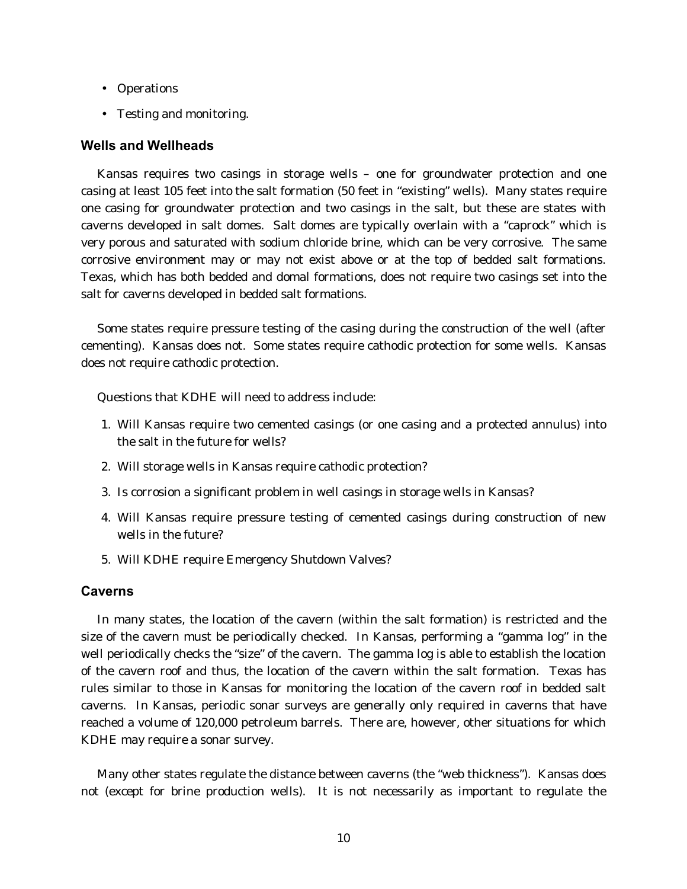- Operations
- Testing and monitoring.

## **Wells and Wellheads**

Kansas requires two casings in storage wells – one for groundwater protection and one casing at least 105 feet into the salt formation (50 feet in "existing" wells). Many states require one casing for groundwater protection and two casings in the salt, but these are states with caverns developed in salt domes. Salt domes are typically overlain with a "caprock" which is very porous and saturated with sodium chloride brine, which can be very corrosive. The same corrosive environment may or may not exist above or at the top of bedded salt formations. Texas, which has both bedded and domal formations, does not require two casings set into the salt for caverns developed in bedded salt formations.

Some states require pressure testing of the casing during the construction of the well (after cementing). Kansas does not. Some states require cathodic protection for some wells. Kansas does not require cathodic protection.

Questions that KDHE will need to address include:

- 1. Will Kansas require two cemented casings (or one casing and a protected annulus) into the salt in the future for wells?
- 2. Will storage wells in Kansas require cathodic protection?
- 3. Is corrosion a significant problem in well casings in storage wells in Kansas?
- 4. Will Kansas require pressure testing of cemented casings during construction of new wells in the future?
- 5. Will KDHE require Emergency Shutdown Valves?

## **Caverns**

In many states, the location of the cavern (within the salt formation) is restricted and the size of the cavern must be periodically checked. In Kansas, performing a "gamma log" in the well periodically checks the "size" of the cavern. The gamma log is able to establish the location of the cavern roof and thus, the location of the cavern within the salt formation. Texas has rules similar to those in Kansas for monitoring the location of the cavern roof in bedded salt caverns. In Kansas, periodic sonar surveys are generally only required in caverns that have reached a volume of 120,000 petroleum barrels. There are, however, other situations for which KDHE may require a sonar survey.

Many other states regulate the distance between caverns (the "web thickness"). Kansas does not (except for brine production wells). It is not necessarily as important to regulate the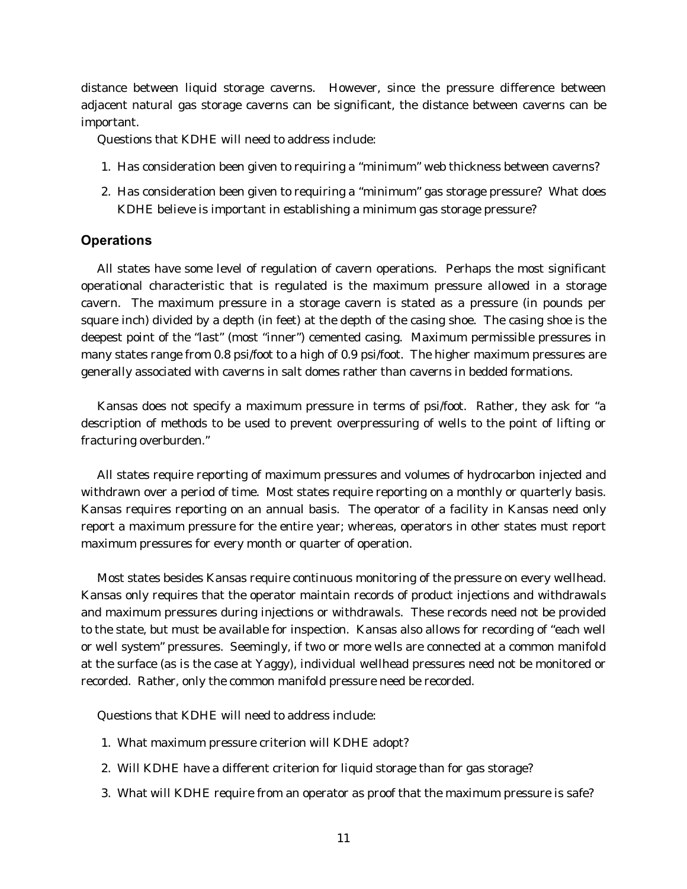distance between liquid storage caverns. However, since the pressure difference between adjacent natural gas storage caverns can be significant, the distance between caverns can be important.

Questions that KDHE will need to address include:

- 1. Has consideration been given to requiring a "minimum" web thickness between caverns?
- 2. Has consideration been given to requiring a "minimum" gas storage pressure? What does KDHE believe is important in establishing a minimum gas storage pressure?

## **Operations**

All states have some level of regulation of cavern operations. Perhaps the most significant operational characteristic that is regulated is the maximum pressure allowed in a storage cavern. The maximum pressure in a storage cavern is stated as a pressure (in pounds per square inch) divided by a depth (in feet) at the depth of the casing shoe. The casing shoe is the deepest point of the "last" (most "inner") cemented casing. Maximum permissible pressures in many states range from 0.8 psi/foot to a high of 0.9 psi/foot. The higher maximum pressures are generally associated with caverns in salt domes rather than caverns in bedded formations.

Kansas does not specify a maximum pressure in terms of psi/foot. Rather, they ask for "a description of methods to be used to prevent overpressuring of wells to the point of lifting or fracturing overburden."

All states require reporting of maximum pressures and volumes of hydrocarbon injected and withdrawn over a period of time. Most states require reporting on a monthly or quarterly basis. Kansas requires reporting on an annual basis. The operator of a facility in Kansas need only report a maximum pressure for the entire year; whereas, operators in other states must report maximum pressures for every month or quarter of operation.

Most states besides Kansas require continuous monitoring of the pressure on every wellhead. Kansas only requires that the operator maintain records of product injections and withdrawals and maximum pressures during injections or withdrawals. These records need not be provided to the state, but must be available for inspection. Kansas also allows for recording of "each well or well system" pressures. Seemingly, if two or more wells are connected at a common manifold at the surface (as is the case at Yaggy), individual wellhead pressures need not be monitored or recorded. Rather, only the common manifold pressure need be recorded.

Questions that KDHE will need to address include:

- 1. What maximum pressure criterion will KDHE adopt?
- 2. Will KDHE have a different criterion for liquid storage than for gas storage?
- 3. What will KDHE require from an operator as proof that the maximum pressure is safe?